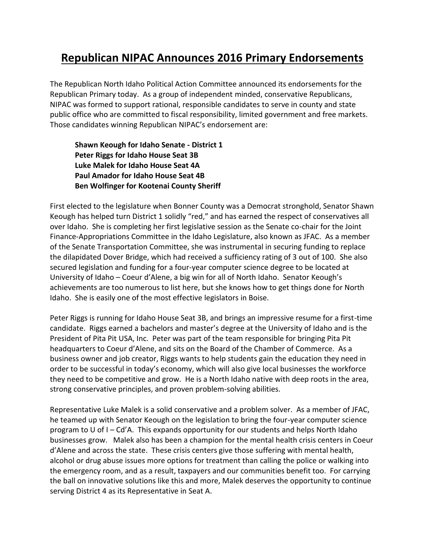## **Republican NIPAC Announces 2016 Primary Endorsements**

The Republican North Idaho Political Action Committee announced its endorsements for the Republican Primary today. As a group of independent minded, conservative Republicans, NIPAC was formed to support rational, responsible candidates to serve in county and state public office who are committed to fiscal responsibility, limited government and free markets. Those candidates winning Republican NIPAC's endorsement are:

## **Shawn Keough for Idaho Senate - District 1 Peter Riggs for Idaho House Seat 3B Luke Malek for Idaho House Seat 4A Paul Amador for Idaho House Seat 4B Ben Wolfinger for Kootenai County Sheriff**

First elected to the legislature when Bonner County was a Democrat stronghold, Senator Shawn Keough has helped turn District 1 solidly "red," and has earned the respect of conservatives all over Idaho. She is completing her first legislative session as the Senate co-chair for the Joint Finance-Appropriations Committee in the Idaho Legislature, also known as JFAC. As a member of the Senate Transportation Committee, she was instrumental in securing funding to replace the dilapidated Dover Bridge, which had received a sufficiency rating of 3 out of 100. She also secured legislation and funding for a four-year computer science degree to be located at University of Idaho – Coeur d'Alene, a big win for all of North Idaho. Senator Keough's achievements are too numerous to list here, but she knows how to get things done for North Idaho. She is easily one of the most effective legislators in Boise.

Peter Riggs is running for Idaho House Seat 3B, and brings an impressive resume for a first-time candidate. Riggs earned a bachelors and master's degree at the University of Idaho and is the President of Pita Pit USA, Inc. Peter was part of the team responsible for bringing Pita Pit headquarters to Coeur d'Alene, and sits on the Board of the Chamber of Commerce. As a business owner and job creator, Riggs wants to help students gain the education they need in order to be successful in today's economy, which will also give local businesses the workforce they need to be competitive and grow. He is a North Idaho native with deep roots in the area, strong conservative principles, and proven problem-solving abilities.

Representative Luke Malek is a solid conservative and a problem solver. As a member of JFAC, he teamed up with Senator Keough on the legislation to bring the four-year computer science program to U of I – Cd'A. This expands opportunity for our students and helps North Idaho businesses grow. Malek also has been a champion for the mental health crisis centers in Coeur d'Alene and across the state. These crisis centers give those suffering with mental health, alcohol or drug abuse issues more options for treatment than calling the police or walking into the emergency room, and as a result, taxpayers and our communities benefit too. For carrying the ball on innovative solutions like this and more, Malek deserves the opportunity to continue serving District 4 as its Representative in Seat A.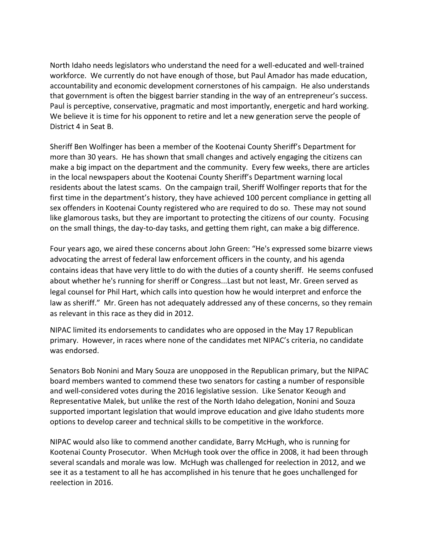North Idaho needs legislators who understand the need for a well-educated and well-trained workforce. We currently do not have enough of those, but Paul Amador has made education, accountability and economic development cornerstones of his campaign. He also understands that government is often the biggest barrier standing in the way of an entrepreneur's success. Paul is perceptive, conservative, pragmatic and most importantly, energetic and hard working. We believe it is time for his opponent to retire and let a new generation serve the people of District 4 in Seat B.

Sheriff Ben Wolfinger has been a member of the Kootenai County Sheriff's Department for more than 30 years. He has shown that small changes and actively engaging the citizens can make a big impact on the department and the community. Every few weeks, there are articles in the local newspapers about the Kootenai County Sheriff's Department warning local residents about the latest scams. On the campaign trail, Sheriff Wolfinger reports that for the first time in the department's history, they have achieved 100 percent compliance in getting all sex offenders in Kootenai County registered who are required to do so. These may not sound like glamorous tasks, but they are important to protecting the citizens of our county. Focusing on the small things, the day-to-day tasks, and getting them right, can make a big difference.

Four years ago, we aired these concerns about John Green: "He's expressed some bizarre views advocating the arrest of federal law enforcement officers in the county, and his agenda contains ideas that have very little to do with the duties of a county sheriff. He seems confused about whether he's running for sheriff or Congress...Last but not least, Mr. Green served as legal counsel for Phil Hart, which calls into question how he would interpret and enforce the law as sheriff." Mr. Green has not adequately addressed any of these concerns, so they remain as relevant in this race as they did in 2012.

NIPAC limited its endorsements to candidates who are opposed in the May 17 Republican primary. However, in races where none of the candidates met NIPAC's criteria, no candidate was endorsed.

Senators Bob Nonini and Mary Souza are unopposed in the Republican primary, but the NIPAC board members wanted to commend these two senators for casting a number of responsible and well-considered votes during the 2016 legislative session. Like Senator Keough and Representative Malek, but unlike the rest of the North Idaho delegation, Nonini and Souza supported important legislation that would improve education and give Idaho students more options to develop career and technical skills to be competitive in the workforce.

NIPAC would also like to commend another candidate, Barry McHugh, who is running for Kootenai County Prosecutor. When McHugh took over the office in 2008, it had been through several scandals and morale was low. McHugh was challenged for reelection in 2012, and we see it as a testament to all he has accomplished in his tenure that he goes unchallenged for reelection in 2016.